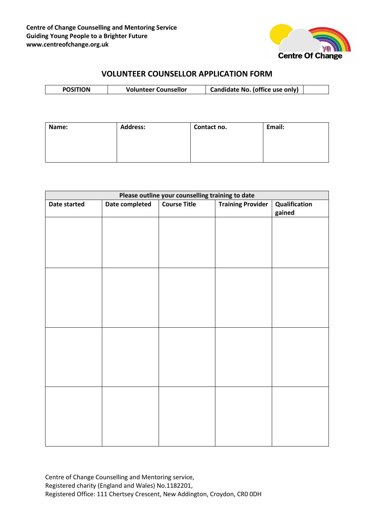

# **VOLUNTEER COUNSELLOR APPLICATION FORM**

| <b>Volunteer Counsellor</b><br><b>DOCITIC</b> |  |  | Candidate No. (office use only) |  |
|-----------------------------------------------|--|--|---------------------------------|--|
|-----------------------------------------------|--|--|---------------------------------|--|

| Name: | <b>Address:</b> | Contact no. | Email: |
|-------|-----------------|-------------|--------|
|       |                 |             |        |
|       |                 |             |        |
|       |                 |             |        |

| Please outline your counselling training to date |                |                     |                          |               |
|--------------------------------------------------|----------------|---------------------|--------------------------|---------------|
| Date started                                     | Date completed | <b>Course Title</b> | <b>Training Provider</b> | Qualification |
|                                                  |                |                     |                          | gained        |
|                                                  |                |                     |                          |               |
|                                                  |                |                     |                          |               |
|                                                  |                |                     |                          |               |
|                                                  |                |                     |                          |               |
|                                                  |                |                     |                          |               |
|                                                  |                |                     |                          |               |
|                                                  |                |                     |                          |               |
|                                                  |                |                     |                          |               |
|                                                  |                |                     |                          |               |
|                                                  |                |                     |                          |               |
|                                                  |                |                     |                          |               |
|                                                  |                |                     |                          |               |
|                                                  |                |                     |                          |               |
|                                                  |                |                     |                          |               |
|                                                  |                |                     |                          |               |
|                                                  |                |                     |                          |               |
|                                                  |                |                     |                          |               |
|                                                  |                |                     |                          |               |
|                                                  |                |                     |                          |               |
|                                                  |                |                     |                          |               |
|                                                  |                |                     |                          |               |
|                                                  |                |                     |                          |               |
|                                                  |                |                     |                          |               |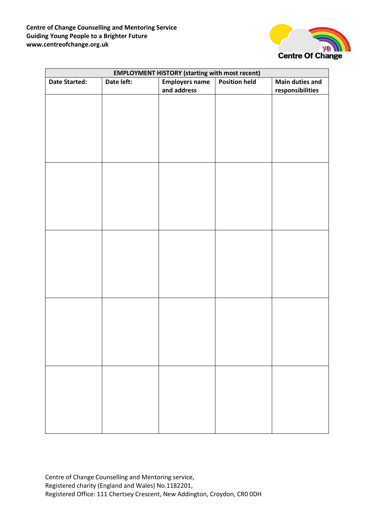

| <b>EMPLOYMENT HISTORY (starting with most recent)</b> |            |                                      |                      |                        |
|-------------------------------------------------------|------------|--------------------------------------|----------------------|------------------------|
| <b>Date Started:</b>                                  | Date left: | <b>Employers name</b><br>and address | <b>Position held</b> | <b>Main duties and</b> |
|                                                       |            |                                      |                      | responsibilities       |
|                                                       |            |                                      |                      |                        |
|                                                       |            |                                      |                      |                        |
|                                                       |            |                                      |                      |                        |
|                                                       |            |                                      |                      |                        |
|                                                       |            |                                      |                      |                        |
|                                                       |            |                                      |                      |                        |
|                                                       |            |                                      |                      |                        |
|                                                       |            |                                      |                      |                        |
|                                                       |            |                                      |                      |                        |
|                                                       |            |                                      |                      |                        |
|                                                       |            |                                      |                      |                        |
|                                                       |            |                                      |                      |                        |
|                                                       |            |                                      |                      |                        |
|                                                       |            |                                      |                      |                        |
|                                                       |            |                                      |                      |                        |
|                                                       |            |                                      |                      |                        |
|                                                       |            |                                      |                      |                        |
|                                                       |            |                                      |                      |                        |
|                                                       |            |                                      |                      |                        |
|                                                       |            |                                      |                      |                        |
|                                                       |            |                                      |                      |                        |
|                                                       |            |                                      |                      |                        |
|                                                       |            |                                      |                      |                        |
|                                                       |            |                                      |                      |                        |
|                                                       |            |                                      |                      |                        |
|                                                       |            |                                      |                      |                        |
|                                                       |            |                                      |                      |                        |
|                                                       |            |                                      |                      |                        |
|                                                       |            |                                      |                      |                        |
|                                                       |            |                                      |                      |                        |
|                                                       |            |                                      |                      |                        |
|                                                       |            |                                      |                      |                        |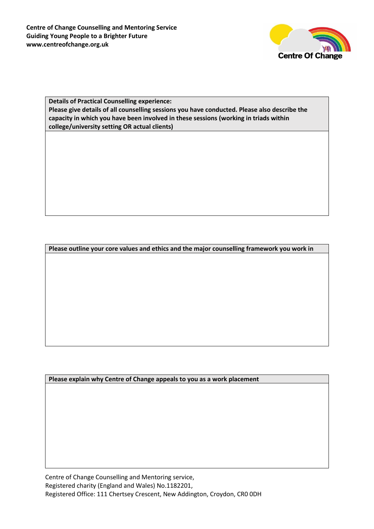

### **Details of Practical Counselling experience: Please give details of all counselling sessions you have conducted. Please also describe the capacity in which you have been involved in these sessions (working in triads within college/university setting OR actual clients)**

**Please outline your core values and ethics and the major counselling framework you work in**

**Please explain why Centre of Change appeals to you as a work placement**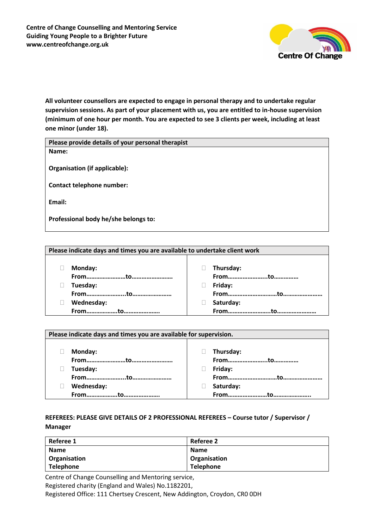

**All volunteer counsellors are expected to engage in personal therapy and to undertake regular supervision sessions. As part of your placement with us, you are entitled to in-house supervision (minimum of one hour per month. You are expected to see 3 clients per week, including at least one minor (under 18).** 

| Please provide details of your personal therapist |
|---------------------------------------------------|
| Name:                                             |
|                                                   |
| Organisation (if applicable):                     |
|                                                   |
| Contact telephone number:                         |
|                                                   |
| Email:                                            |
|                                                   |
| Professional body he/she belongs to:              |

| Monday:    | Thursday: |
|------------|-----------|
|            |           |
| Tuesday:   | Friday:   |
|            |           |
| Wednesday: | Saturday: |
|            |           |

| Please indicate days and times you are available for supervision. |  |           |  |
|-------------------------------------------------------------------|--|-----------|--|
|                                                                   |  |           |  |
| Monday:                                                           |  | Thursday: |  |
|                                                                   |  |           |  |
| Tuesday:                                                          |  | Friday:   |  |
|                                                                   |  |           |  |
| Wednesday:                                                        |  | Saturday: |  |
| Fromto.                                                           |  | From.     |  |

## **REFEREES: PLEASE GIVE DETAILS OF 2 PROFESSIONAL REFEREES – Course tutor / Supervisor / Manager**

| Referee 1        | Referee 2        |
|------------------|------------------|
| <b>Name</b>      | <b>Name</b>      |
| Organisation     | Organisation     |
| <b>Telephone</b> | <b>Telephone</b> |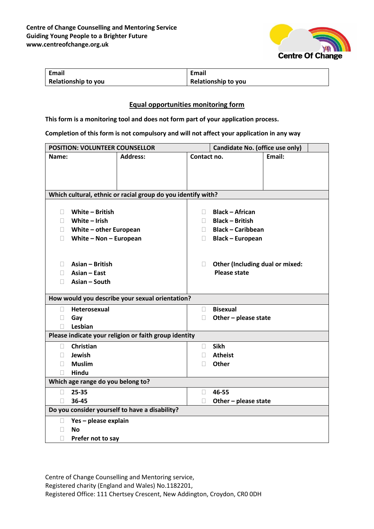

| <b>Email</b>               | Email                      |
|----------------------------|----------------------------|
| <b>Relationship to you</b> | <b>Relationship to you</b> |

### **Equal opportunities monitoring form**

**This form is a monitoring tool and does not form part of your application process.** 

**Completion of this form is not compulsory and will not affect your application in any way**

| <b>POSITION: VOLUNTEER COUNSELLOR</b> |                                   |                                                              |                | Candidate No. (office use only)                        |        |  |
|---------------------------------------|-----------------------------------|--------------------------------------------------------------|----------------|--------------------------------------------------------|--------|--|
| Name:                                 |                                   | <b>Address:</b>                                              | Contact no.    |                                                        | Email: |  |
|                                       |                                   |                                                              |                |                                                        |        |  |
|                                       |                                   |                                                              |                |                                                        |        |  |
|                                       |                                   |                                                              |                |                                                        |        |  |
|                                       |                                   | Which cultural, ethnic or racial group do you identify with? |                |                                                        |        |  |
|                                       |                                   |                                                              |                |                                                        |        |  |
| ш                                     | White - British                   |                                                              | $\mathbb{R}^n$ | <b>Black - African</b>                                 |        |  |
| П.                                    | White $-$ Irish                   |                                                              | n.             | <b>Black - British</b>                                 |        |  |
| H.                                    | White - other European            |                                                              | $\mathbb{R}^n$ | <b>Black - Caribbean</b>                               |        |  |
| П                                     | White $-$ Non $-$ European        |                                                              | П.             | <b>Black - European</b>                                |        |  |
|                                       |                                   |                                                              |                |                                                        |        |  |
| $\Box$                                | Asian - British                   |                                                              | $\Box$         |                                                        |        |  |
| П.                                    | Asian - East                      |                                                              |                | Other (Including dual or mixed:<br><b>Please state</b> |        |  |
| П.                                    | Asian - South                     |                                                              |                |                                                        |        |  |
|                                       |                                   |                                                              |                |                                                        |        |  |
|                                       |                                   | How would you describe your sexual orientation?              |                |                                                        |        |  |
| П                                     | Heterosexual                      |                                                              | n.             | <b>Bisexual</b>                                        |        |  |
| П                                     | Gay                               |                                                              | П              | Other - please state                                   |        |  |
| П                                     | Lesbian                           |                                                              |                |                                                        |        |  |
|                                       |                                   | Please indicate your religion or faith group identity        |                |                                                        |        |  |
| П                                     | Christian                         |                                                              | $\mathbb{R}^n$ | <b>Sikh</b>                                            |        |  |
| П.                                    | Jewish                            |                                                              | П              | <b>Atheist</b>                                         |        |  |
| $\Box$                                | <b>Muslim</b>                     |                                                              | П              | <b>Other</b>                                           |        |  |
| $\mathbf{L}$                          | Hindu                             |                                                              |                |                                                        |        |  |
|                                       | Which age range do you belong to? |                                                              |                |                                                        |        |  |
| П.                                    | 25-35                             |                                                              | $\Box$         | 46-55                                                  |        |  |
| П                                     | 36-45                             |                                                              | П              | Other - please state                                   |        |  |
|                                       |                                   | Do you consider yourself to have a disability?               |                |                                                        |        |  |
| П                                     | Yes - please explain              |                                                              |                |                                                        |        |  |
| П                                     | <b>No</b>                         |                                                              |                |                                                        |        |  |
| п                                     | Prefer not to say                 |                                                              |                |                                                        |        |  |